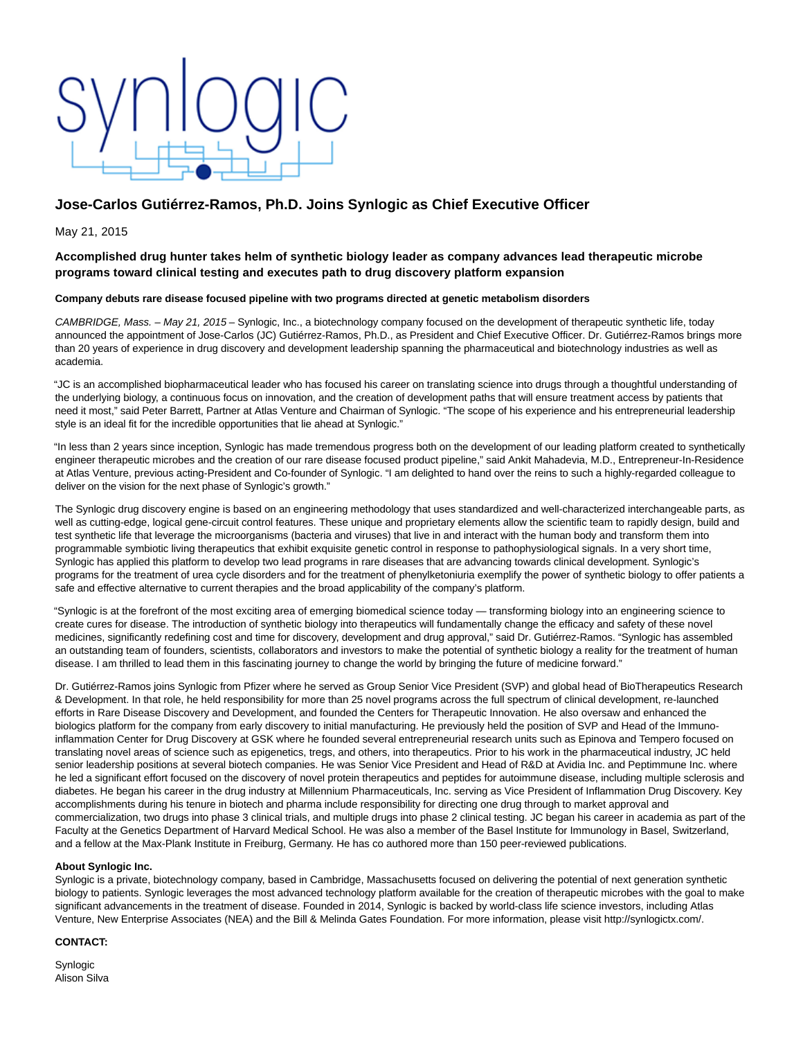# **Jose-Carlos Gutiérrez-Ramos, Ph.D. Joins Synlogic as Chief Executive Officer**

May 21, 2015

## **Accomplished drug hunter takes helm of synthetic biology leader as company advances lead therapeutic microbe programs toward clinical testing and executes path to drug discovery platform expansion**

### **Company debuts rare disease focused pipeline with two programs directed at genetic metabolism disorders**

CAMBRIDGE, Mass. - May 21, 2015 - Synlogic, Inc., a biotechnology company focused on the development of therapeutic synthetic life, today announced the appointment of Jose-Carlos (JC) Gutiérrez-Ramos, Ph.D., as President and Chief Executive Officer. Dr. Gutiérrez-Ramos brings more than 20 years of experience in drug discovery and development leadership spanning the pharmaceutical and biotechnology industries as well as academia.

"JC is an accomplished biopharmaceutical leader who has focused his career on translating science into drugs through a thoughtful understanding of the underlying biology, a continuous focus on innovation, and the creation of development paths that will ensure treatment access by patients that need it most," said Peter Barrett, Partner at Atlas Venture and Chairman of Synlogic. "The scope of his experience and his entrepreneurial leadership style is an ideal fit for the incredible opportunities that lie ahead at Synlogic."

"In less than 2 years since inception, Synlogic has made tremendous progress both on the development of our leading platform created to synthetically engineer therapeutic microbes and the creation of our rare disease focused product pipeline," said Ankit Mahadevia, M.D., Entrepreneur-In-Residence at Atlas Venture, previous acting-President and Co-founder of Synlogic. "I am delighted to hand over the reins to such a highly-regarded colleague to deliver on the vision for the next phase of Synlogic's growth."

The Synlogic drug discovery engine is based on an engineering methodology that uses standardized and well-characterized interchangeable parts, as well as cutting-edge, logical gene-circuit control features. These unique and proprietary elements allow the scientific team to rapidly design, build and test synthetic life that leverage the microorganisms (bacteria and viruses) that live in and interact with the human body and transform them into programmable symbiotic living therapeutics that exhibit exquisite genetic control in response to pathophysiological signals. In a very short time, Synlogic has applied this platform to develop two lead programs in rare diseases that are advancing towards clinical development. Synlogic's programs for the treatment of urea cycle disorders and for the treatment of phenylketoniuria exemplify the power of synthetic biology to offer patients a safe and effective alternative to current therapies and the broad applicability of the company's platform.

"Synlogic is at the forefront of the most exciting area of emerging biomedical science today — transforming biology into an engineering science to create cures for disease. The introduction of synthetic biology into therapeutics will fundamentally change the efficacy and safety of these novel medicines, significantly redefining cost and time for discovery, development and drug approval," said Dr. Gutiérrez-Ramos. "Synlogic has assembled an outstanding team of founders, scientists, collaborators and investors to make the potential of synthetic biology a reality for the treatment of human disease. I am thrilled to lead them in this fascinating journey to change the world by bringing the future of medicine forward."

Dr. Gutiérrez-Ramos joins Synlogic from Pfizer where he served as Group Senior Vice President (SVP) and global head of BioTherapeutics Research & Development. In that role, he held responsibility for more than 25 novel programs across the full spectrum of clinical development, re-launched efforts in Rare Disease Discovery and Development, and founded the Centers for Therapeutic Innovation. He also oversaw and enhanced the biologics platform for the company from early discovery to initial manufacturing. He previously held the position of SVP and Head of the Immunoinflammation Center for Drug Discovery at GSK where he founded several entrepreneurial research units such as Epinova and Tempero focused on translating novel areas of science such as epigenetics, tregs, and others, into therapeutics. Prior to his work in the pharmaceutical industry, JC held senior leadership positions at several biotech companies. He was Senior Vice President and Head of R&D at Avidia Inc. and Peptimmune Inc. where he led a significant effort focused on the discovery of novel protein therapeutics and peptides for autoimmune disease, including multiple sclerosis and diabetes. He began his career in the drug industry at Millennium Pharmaceuticals, Inc. serving as Vice President of Inflammation Drug Discovery. Key accomplishments during his tenure in biotech and pharma include responsibility for directing one drug through to market approval and commercialization, two drugs into phase 3 clinical trials, and multiple drugs into phase 2 clinical testing. JC began his career in academia as part of the Faculty at the Genetics Department of Harvard Medical School. He was also a member of the Basel Institute for Immunology in Basel, Switzerland, and a fellow at the Max-Plank Institute in Freiburg, Germany. He has co authored more than 150 peer-reviewed publications.

#### **About Synlogic Inc.**

Synlogic is a private, biotechnology company, based in Cambridge, Massachusetts focused on delivering the potential of next generation synthetic biology to patients. Synlogic leverages the most advanced technology platform available for the creation of therapeutic microbes with the goal to make significant advancements in the treatment of disease. Founded in 2014, Synlogic is backed by world-class life science investors, including Atlas Venture, New Enterprise Associates (NEA) and the Bill & Melinda Gates Foundation. For more information, please visit http://synlogictx.com/.

#### **CONTACT:**

Synlogic Alison Silva